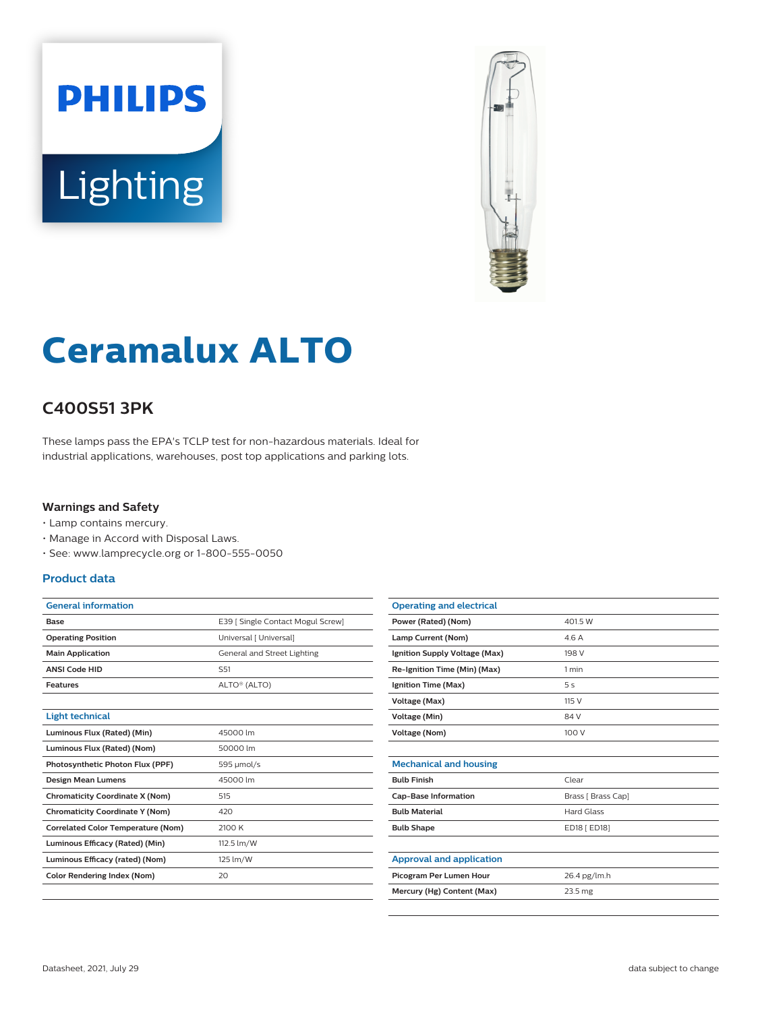



# **Ceramalux ALTO**

## **C400S51 3PK**

These lamps pass the EPA's TCLP test for non-hazardous materials. Ideal for industrial applications, warehouses, post top applications and parking lots.

#### **Warnings and Safety**

- Lamp contains mercury.
- Manage in Accord with Disposal Laws.
- See: www.lamprecycle.org or 1-800-555-0050

### **Product data**

| <b>General information</b>                |                                   |
|-------------------------------------------|-----------------------------------|
| Base                                      | E39   Single Contact Mogul Screw] |
| <b>Operating Position</b>                 | Universal [ Universal]            |
| <b>Main Application</b>                   | General and Street Lighting       |
| <b>ANSI Code HID</b>                      | S <sub>51</sub>                   |
| <b>Features</b>                           | ALTO® (ALTO)                      |
|                                           |                                   |
| <b>Light technical</b>                    |                                   |
| Luminous Flux (Rated) (Min)               | 45000 lm                          |
| Luminous Flux (Rated) (Nom)               | 50000 lm                          |
| Photosynthetic Photon Flux (PPF)          | 595 µmol/s                        |
| <b>Design Mean Lumens</b>                 | 45000 lm                          |
| <b>Chromaticity Coordinate X (Nom)</b>    | 515                               |
| <b>Chromaticity Coordinate Y (Nom)</b>    | 420                               |
| <b>Correlated Color Temperature (Nom)</b> | 2100 K                            |
| Luminous Efficacy (Rated) (Min)           | 112.5 lm/W                        |
| Luminous Efficacy (rated) (Nom)           | 125 lm/W                          |
| Color Rendering Index (Nom)               | 20                                |
|                                           |                                   |

| <b>Operating and electrical</b> |                    |
|---------------------------------|--------------------|
| Power (Rated) (Nom)             | 401.5 W            |
| Lamp Current (Nom)              | 4.6 A              |
| Ignition Supply Voltage (Max)   | 198 V              |
| Re-Ignition Time (Min) (Max)    | 1 min              |
| Ignition Time (Max)             | 5 <sub>s</sub>     |
| Voltage (Max)                   | 115 V              |
| Voltage (Min)                   | 84 V               |
| <b>Voltage (Nom)</b>            | 100 V              |
|                                 |                    |
| <b>Mechanical and housing</b>   |                    |
| <b>Bulb Finish</b>              | Clear              |
| <b>Cap-Base Information</b>     | Brass [ Brass Cap] |
| <b>Bulb Material</b>            | <b>Hard Glass</b>  |
| <b>Bulb Shape</b>               | ED18 [ ED18]       |
|                                 |                    |
| <b>Approval and application</b> |                    |
| Picogram Per Lumen Hour         | 26.4 pg/lm.h       |
| Mercury (Hg) Content (Max)      | 23.5 mg            |
|                                 |                    |